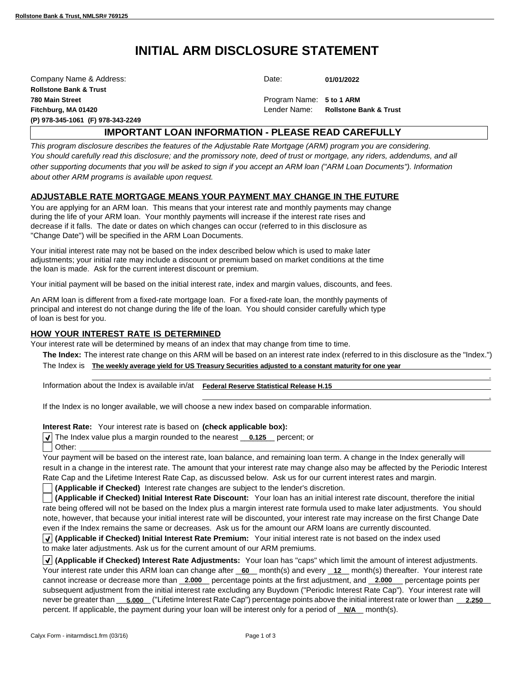# **INITIAL ARM DISCLOSURE STATEMENT**

| Company Name & Address:           | Date:                    | 01/01/2022                        |  |
|-----------------------------------|--------------------------|-----------------------------------|--|
| <b>Rollstone Bank &amp; Trust</b> |                          |                                   |  |
| 780 Main Street                   | Program Name: 5 to 1 ARM |                                   |  |
| Fitchburg, MA 01420               | Lender Name:             | <b>Rollstone Bank &amp; Trust</b> |  |
| (P) 978-345-1061 (F) 978-343-2249 |                          |                                   |  |

# **IMPORTANT LOAN INFORMATION - PLEASE READ CAREFULLY**

*This program disclosure describes the features of the Adjustable Rate Mortgage (ARM) program you are considering. You should carefully read this disclosure; and the promissory note, deed of trust or mortgage, any riders, addendums, and all other supporting documents that you will be asked to sign if you accept an ARM loan ("ARM Loan Documents"). Information about other ARM programs is available upon request.*

# **ADJUSTABLE RATE MORTGAGE MEANS YOUR PAYMENT MAY CHANGE IN THE FUTURE**

You are applying for an ARM loan. This means that your interest rate and monthly payments may change during the life of your ARM loan. Your monthly payments will increase if the interest rate rises and decrease if it falls. The date or dates on which changes can occur (referred to in this disclosure as "Change Date") will be specified in the ARM Loan Documents.

Your initial interest rate may not be based on the index described below which is used to make later adjustments; your initial rate may include a discount or premium based on market conditions at the time the loan is made. Ask for the current interest discount or premium.

Your initial payment will be based on the initial interest rate, index and margin values, discounts, and fees.

An ARM loan is different from a fixed-rate mortgage loan. For a fixed-rate loan, the monthly payments of principal and interest do not change during the life of the loan. You should consider carefully which type of loan is best for you.

## **HOW YOUR INTEREST RATE IS DETERMINED**

Your interest rate will be determined by means of an index that may change from time to time.

**The Index:** The interest rate change on this ARM will be based on an interest rate index (referred to in this disclosure as the "Index.") The Index is **The weekly average yield for US Treasury Securities adjusted to a constant maturity for one year**

.

.

Information about the Index is available in/at **Federal Reserve Statistical Release H.15**

If the Index is no longer available, we will choose a new index based on comparable information.

Interest Rate: Your interest rate is based on (check applicable box):

The Index value plus a margin rounded to the nearest **0.125** percent; or Other:

Your payment will be based on the interest rate, loan balance, and remaining loan term. A change in the Index generally will result in a change in the interest rate. The amount that your interest rate may change also may be affected by the Periodic Interest Rate Cap and the Lifetime Interest Rate Cap, as discussed below. Ask us for our current interest rates and margin.

**(Applicable if Checked)** Interest rate changes are subject to the lender's discretion.

(Applicable if Checked) Initial Interest Rate Discount: Your loan has an initial interest rate discount, therefore the initial rate being offered will not be based on the Index plus a margin interest rate formula used to make later adjustments. You should note, however, that because your initial interest rate will be discounted, your interest rate may increase on the first Change Date even if the Index remains the same or decreases. Ask us for the amount our ARM loans are currently discounted.

**(Applicable if Checked) Initial Interest Rate Premium:** Your initial interest rate is not based on the index used to make later adjustments. Ask us for the current amount of our ARM premiums.

**(Applicable if Checked) Interest Rate Adjustments:** Your loan has "caps" which limit the amount of interest adjustments. Your interest rate under this ARM loan can change after <u>60</u> month(s) and every 12 month(s) thereafter. Your interest rate cannot increase or decrease more than \_2.000 \_ percentage points at the first adjustment, and \_2.000 \_ percentage points per subsequent adjustment from the initial interest rate excluding any Buydown ("Periodic Interest Rate Cap"). Your interest rate will never be greater than \_\_\_5.000\_("Lifetime Interest Rate Cap") percentage points above the initial interest rate or lower than \_\_\_2.250\_\_ percent. If applicable, the payment during your loan will be interest only for a period of **N/A** month(s).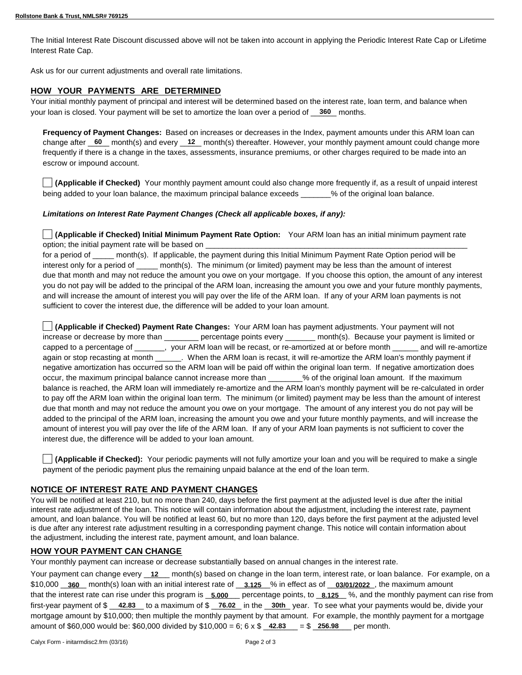The Initial Interest Rate Discount discussed above will not be taken into account in applying the Periodic Interest Rate Cap or Lifetime Interest Rate Cap.

Ask us for our current adjustments and overall rate limitations.

### **HOW YOUR PAYMENTS ARE DETERMINED**

Your initial monthly payment of principal and interest will be determined based on the interest rate, loan term, and balance when your loan is closed. Your payment will be set to amortize the loan over a period of **360** months.

**Frequency of Payment Changes:**  Based on increases or decreases in the Index, payment amounts under this ARM loan can change after <u>60</u> month(s) and every 12 month(s) thereafter. However, your monthly payment amount could change more frequently if there is a change in the taxes, assessments, insurance premiums, or other charges required to be made into an escrow or impound account.

**(Applicable if Checked)** Your monthly payment amount could also change more frequently if, as a result of unpaid interest being added to your loan balance, the maximum principal balance exceeds exceeds was of the original loan balance.

#### *Limitations on Interest Rate Payment Changes (Check all applicable boxes, if any):*

**(Applicable if Checked) Initial Minimum Payment Rate Option:** Your ARM loan has an initial minimum payment rate option; the initial payment rate will be based on

for a period of \_\_\_\_\_ month(s). If applicable, the payment during this Initial Minimum Payment Rate Option period will be interest only for a period of month(s). The minimum (or limited) payment may be less than the amount of interest due that month and may not reduce the amount you owe on your mortgage. If you choose this option, the amount of any interest you do not pay will be added to the principal of the ARM loan, increasing the amount you owe and your future monthly payments, and will increase the amount of interest you will pay over the life of the ARM loan. If any of your ARM loan payments is not sufficient to cover the interest due, the difference will be added to your loan amount.

**(Applicable if Checked) Payment Rate Changes:** Your ARM loan has payment adjustments. Your payment will not increase or decrease by more than \_\_\_\_\_\_\_\_ percentage points every \_\_\_\_\_\_ month(s). Because your payment is limited or capped to a percentage of \_\_\_\_\_\_\_, your ARM loan will be recast, or re-amortized at or before month \_\_\_\_\_\_ and will re-amortize again or stop recasting at month When the ARM loan is recast, it will re-amortize the ARM loan's monthly payment if negative amortization has occurred so the ARM loan will be paid off within the original loan term. If negative amortization does occur, the maximum principal balance cannot increase more than 200 % of the original loan amount. If the maximum balance is reached, the ARM loan will immediately re-amortize and the ARM loan's monthly payment will be re-calculated in order to pay off the ARM loan within the original loan term. The minimum (or limited) payment may be less than the amount of interest due that month and may not reduce the amount you owe on your mortgage. The amount of any interest you do not pay will be added to the principal of the ARM loan, increasing the amount you owe and your future monthly payments, and will increase the amount of interest you will pay over the life of the ARM loan. If any of your ARM loan payments is not sufficient to cover the interest due, the difference will be added to your loan amount.

**(Applicable if Checked):** Your periodic payments will not fully amortize your loan and you will be required to make a single payment of the periodic payment plus the remaining unpaid balance at the end of the loan term.

#### **NOTICE OF INTEREST RATE AND PAYMENT CHANGES**

You will be notified at least 210, but no more than 240, days before the first payment at the adjusted level is due after the initial interest rate adjustment of the loan. This notice will contain information about the adjustment, including the interest rate, payment amount, and loan balance. You will be notified at least 60, but no more than 120, days before the first payment at the adjusted level is due after any interest rate adjustment resulting in a corresponding payment change. This notice will contain information about the adjustment, including the interest rate, payment amount, and loan balance.

#### **HOW YOUR PAYMENT CAN CHANGE**

Your monthly payment can increase or decrease substantially based on annual changes in the interest rate.

Your payment can change every <u>\_12</u> \_\_ month(s) based on change in the loan term, interest rate, or loan balance. For example, on a \$10,000 <u>\_\_360</u> \_\_ month(s) loan with an initial interest rate of \_\_\_3.125 \_\_% in effect as of \_\_03/01/2022\_, the maximum amount that the interest rate can rise under this program is \_5.000 \_\_\_ percentage points, to \_8.125 \_\_%, and the monthly payment can rise from first-year payment of \$ <u>42.83</u> to a maximum of \$ \_76.02 in the \_30th\_year. To see what your payments would be, divide your mortgage amount by \$10,000; then multiple the monthly payment by that amount. For example, the monthly payment for a mortgage amount of \$60,000 would be: \$60,000 divided by  $$10,000 = 6$ ;  $6 \times $$   $42.83$   $= $$   $256.98$  per month.